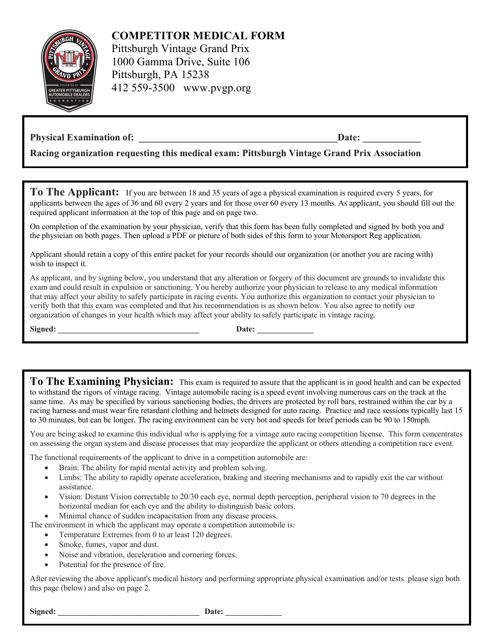

**COMPETITOR MEDICAL FORM**

Pittsburgh Vintage Grand Prix 1000 Gamma Drive, Suite 106 Pittsburgh, PA 15238 412 559-3500 www.pvgp.org

## **Physical Examination of: \_\_\_\_\_\_\_\_\_\_\_\_\_\_\_\_\_\_\_\_\_\_\_\_\_\_\_\_\_\_\_\_\_\_\_\_\_\_\_\_\_Date: \_\_\_\_\_\_\_\_\_\_\_\_**

**Racing organization requesting this medical exam: Pittsburgh Vintage Grand Prix Association** 

**To The Applicant:** If you are between 18 and 35 years of age a physical examination is required every 5 years, for applicants between the ages of 36 and 60 every 2 years and for those over 60 every 13 months. As applicant, you should fill out the required applicant information at the top of this page and on page two.

On completion of the examination by your physician, verify that this form has been fully completed and signed by both you and the physician on both pages. Then upload a PDF or picture of both sides of this form to your Motorsport Reg application.

Applicant should retain a copy of this entire packet for your records should our organization (or another you are racing with) wish to inspect it.

As applicant, and by signing below, you understand that any alteration or forgery of this document are grounds to invalidate this exam and could result in expulsion or sanctioning. You hereby authorize your physician to release to any medical information that may affect your ability to safely participate in racing events. You authorize this organization to contact your physician to verify both that this exam was completed and that his recommendation is as shown below. You also agree to notify our organization of changes in your health which may affect your ability to safely participate in vintage racing.

**Signed: \_\_\_\_\_\_\_\_\_\_\_\_\_\_\_\_\_\_\_\_\_\_\_\_\_\_\_\_\_\_\_\_\_\_\_ Date: \_\_\_\_\_\_\_\_\_\_\_\_\_\_**

**To The Examining Physician:** This exam is required to assure that the applicant is in good health and can be expected to withstand the rigors of vintage racing. Vintage automobile racing is a speed event involving numerous cars on the track at the same time. As may be specified by various sanctioning bodies, the drivers are protected by roll bars, restrained within the car by a racing harness and must wear fire retardant clothing and helmets designed for auto racing. Practice and race sessions typically last 15 to 30 minutes, but can be longer. The racing environment can be very hot and speeds for brief periods can be 90 to 150mph.

You are being asked to examine this individual who is applying for a vintage auto racing competition license. This form concentrates on assessing the organ system and disease processes that may jeopardize the applicant or others attending a competition race event.

The functional requirements of the applicant to drive in a competition automobile are:

- Brain: The ability for rapid mental activity and problem solving.
- Limbs: The ability to rapidly operate acceleration, braking and steering mechanisms and to rapidly exit the car without assistance.
- Vision: Distant Vision correctable to 20/30 each eye, normal depth perception, peripheral vision to 70 degrees in the horizontal median for each eye and the ability to distinguish basic colors.
- Minimal chance of sudden incapacitation from any disease process.

The environment in which the applicant may operate a competition automobile is:

- Temperature Extremes from 0 to at least 120 degrees.
- Smoke, fumes, vapor and dust.
- Noise and vibration, deceleration and cornering forces.
- Potential for the presence of fire.

After reviewing the above applicant's medical history and performing appropriate physical examination and/or tests please sign both this page (below) and also on page 2.

**Signed: \_\_\_\_\_\_\_\_\_\_\_\_\_\_\_\_\_\_\_\_\_\_\_\_\_\_\_\_\_\_\_\_\_\_\_ Date: \_\_\_\_\_\_\_\_\_\_\_\_\_\_**